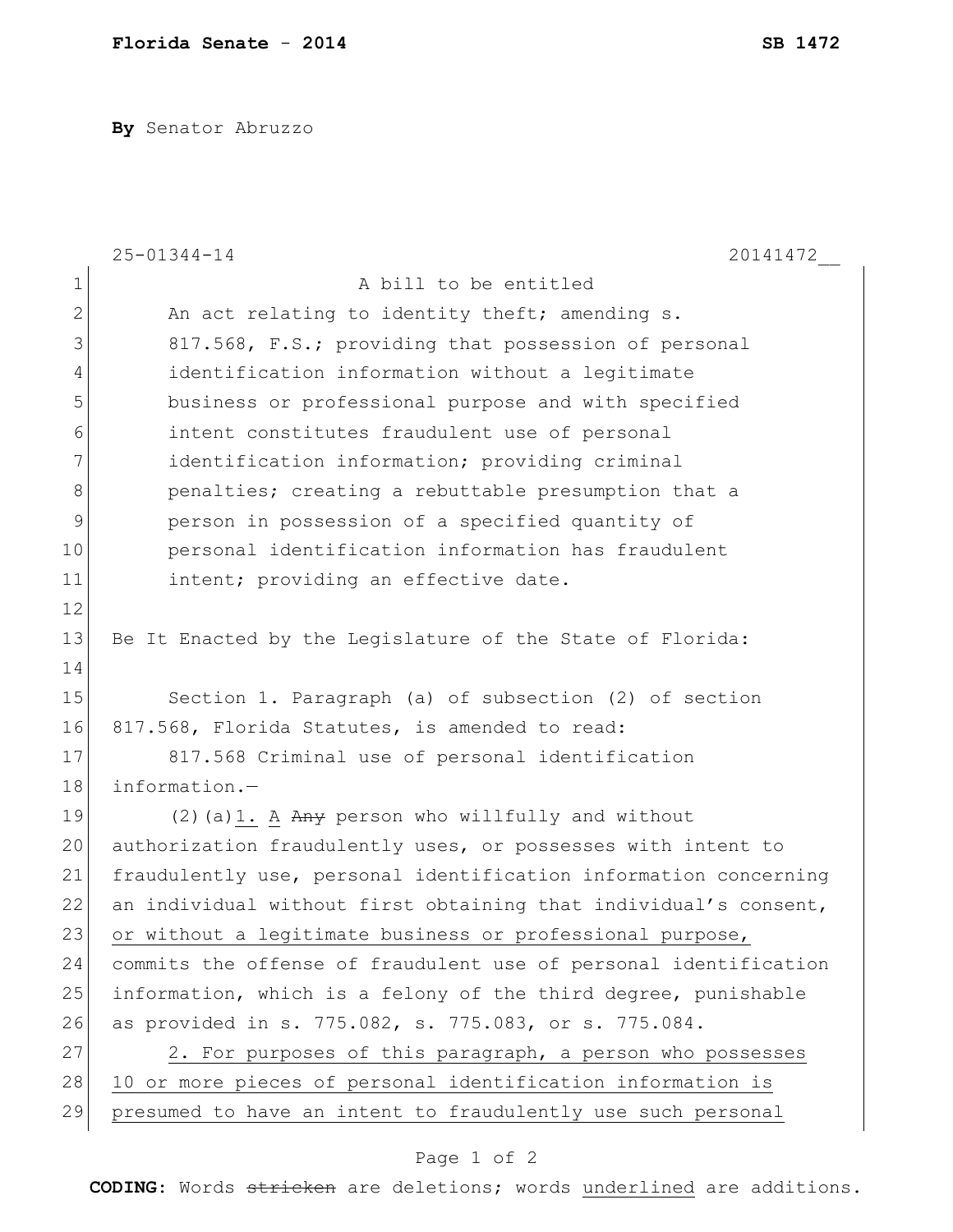**By** Senator Abruzzo

|                | $25 - 01344 - 14$<br>20141472                                    |
|----------------|------------------------------------------------------------------|
| $\mathbf 1$    | A bill to be entitled                                            |
| $\overline{2}$ | An act relating to identity theft; amending s.                   |
| 3              | 817.568, F.S.; providing that possession of personal             |
| $\overline{4}$ | identification information without a legitimate                  |
| 5              | business or professional purpose and with specified              |
| 6              | intent constitutes fraudulent use of personal                    |
| 7              | identification information; providing criminal                   |
| $\,8\,$        | penalties; creating a rebuttable presumption that a              |
| 9              | person in possession of a specified quantity of                  |
| 10             | personal identification information has fraudulent               |
| 11             | intent; providing an effective date.                             |
| 12             |                                                                  |
| 13             | Be It Enacted by the Legislature of the State of Florida:        |
| 14             |                                                                  |
| 15             | Section 1. Paragraph (a) of subsection (2) of section            |
| 16             | 817.568, Florida Statutes, is amended to read:                   |
| 17             | 817.568 Criminal use of personal identification                  |
| 18             | information.-                                                    |
| 19             | $(2)$ (a) 1. A Any person who willfully and without              |
| 20             | authorization fraudulently uses, or possesses with intent to     |
| 21             | fraudulently use, personal identification information concerning |
| 22             | an individual without first obtaining that individual's consent, |
| 23             | or without a legitimate business or professional purpose,        |
| 24             | commits the offense of fraudulent use of personal identification |
| 25             | information, which is a felony of the third degree, punishable   |
| 26             | as provided in s. 775.082, s. 775.083, or s. 775.084.            |
| 27             | 2. For purposes of this paragraph, a person who possesses        |
| 28             | 10 or more pieces of personal identification information is      |
| 29             | presumed to have an intent to fraudulently use such personal     |

## Page 1 of 2

**CODING**: Words stricken are deletions; words underlined are additions.